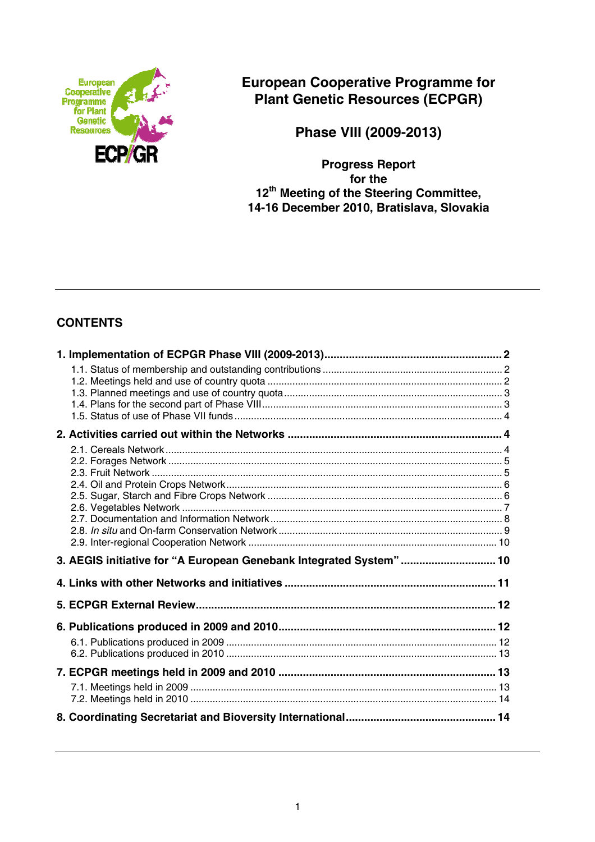

**European Cooperative Programme for Plant Genetic Resources (ECPGR)** 

**Phase VIII (2009-2013)** 

**Progress Report for the 12th Meeting of the Steering Committee, 14-16 December 2010, Bratislava, Slovakia** 

# **CONTENTS**

| 3. AEGIS initiative for "A European Genebank Integrated System"  10 |  |
|---------------------------------------------------------------------|--|
|                                                                     |  |
|                                                                     |  |
|                                                                     |  |
|                                                                     |  |
|                                                                     |  |
|                                                                     |  |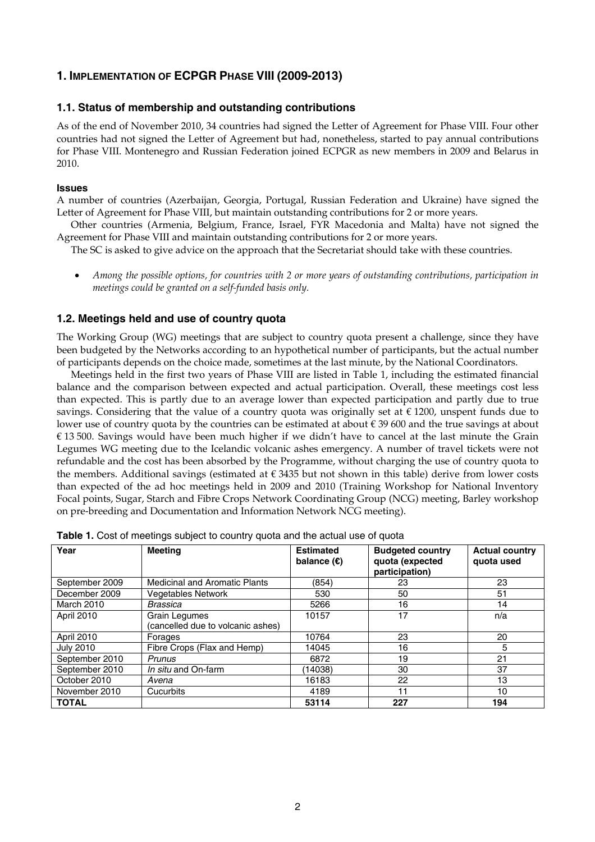# **1. IMPLEMENTATION OF ECPGR PHASE VIII (2009-2013)**

### **1.1. Status of membership and outstanding contributions**

As of the end of November 2010, 34 countries had signed the Letter of Agreement for Phase VIII. Four other countries had not signed the Letter of Agreement but had, nonetheless, started to pay annual contributions for Phase VIII. Montenegro and Russian Federation joined ECPGR as new members in 2009 and Belarus in 2010.

#### **Issues**

A number of countries (Azerbaijan, Georgia, Portugal, Russian Federation and Ukraine) have signed the Letter of Agreement for Phase VIII, but maintain outstanding contributions for 2 or more years.

 Other countries (Armenia, Belgium, France, Israel, FYR Macedonia and Malta) have not signed the Agreement for Phase VIII and maintain outstanding contributions for 2 or more years.

The SC is asked to give advice on the approach that the Secretariat should take with these countries.

• *Among the possible options, for countries with 2 or more years of outstanding contributions, participation in meetings could be granted on a self-funded basis only.* 

### **1.2. Meetings held and use of country quota**

The Working Group (WG) meetings that are subject to country quota present a challenge, since they have been budgeted by the Networks according to an hypothetical number of participants, but the actual number of participants depends on the choice made, sometimes at the last minute, by the National Coordinators.

 Meetings held in the first two years of Phase VIII are listed in Table 1, including the estimated financial balance and the comparison between expected and actual participation. Overall, these meetings cost less than expected. This is partly due to an average lower than expected participation and partly due to true savings. Considering that the value of a country quota was originally set at  $\epsilon$  1200, unspent funds due to lower use of country quota by the countries can be estimated at about € 39 600 and the true savings at about € 13 500. Savings would have been much higher if we didn't have to cancel at the last minute the Grain Legumes WG meeting due to the Icelandic volcanic ashes emergency. A number of travel tickets were not refundable and the cost has been absorbed by the Programme, without charging the use of country quota to the members. Additional savings (estimated at  $\epsilon$  3435 but not shown in this table) derive from lower costs than expected of the ad hoc meetings held in 2009 and 2010 (Training Workshop for National Inventory Focal points, Sugar, Starch and Fibre Crops Network Coordinating Group (NCG) meeting, Barley workshop on pre-breeding and Documentation and Information Network NCG meeting).

| Year             | <b>Meeting</b>                                     | <b>Estimated</b><br>balance $(\epsilon)$ | <b>Budgeted country</b><br>quota (expected<br>participation) | <b>Actual country</b><br>quota used |
|------------------|----------------------------------------------------|------------------------------------------|--------------------------------------------------------------|-------------------------------------|
| September 2009   | <b>Medicinal and Aromatic Plants</b>               | (854)                                    | 23                                                           | 23                                  |
| December 2009    | <b>Vegetables Network</b>                          | 530                                      | 50                                                           | 51                                  |
| March 2010       | <b>Brassica</b>                                    | 5266                                     | 16                                                           | 14                                  |
| April 2010       | Grain Legumes<br>(cancelled due to volcanic ashes) | 10157                                    | 17                                                           | n/a                                 |
| April 2010       | Forages                                            | 10764                                    | 23                                                           | 20                                  |
| <b>July 2010</b> | Fibre Crops (Flax and Hemp)                        | 14045                                    | 16                                                           | 5                                   |
| September 2010   | Prunus                                             | 6872                                     | 19                                                           | 21                                  |
| September 2010   | In situ and On-farm                                | (14038)                                  | 30                                                           | 37                                  |
| October 2010     | Avena                                              | 16183                                    | 22                                                           | 13                                  |
| November 2010    | Cucurbits                                          | 4189                                     | 11                                                           | 10                                  |
| <b>TOTAL</b>     |                                                    | 53114                                    | 227                                                          | 194                                 |

Table 1. Cost of meetings subject to country quota and the actual use of quota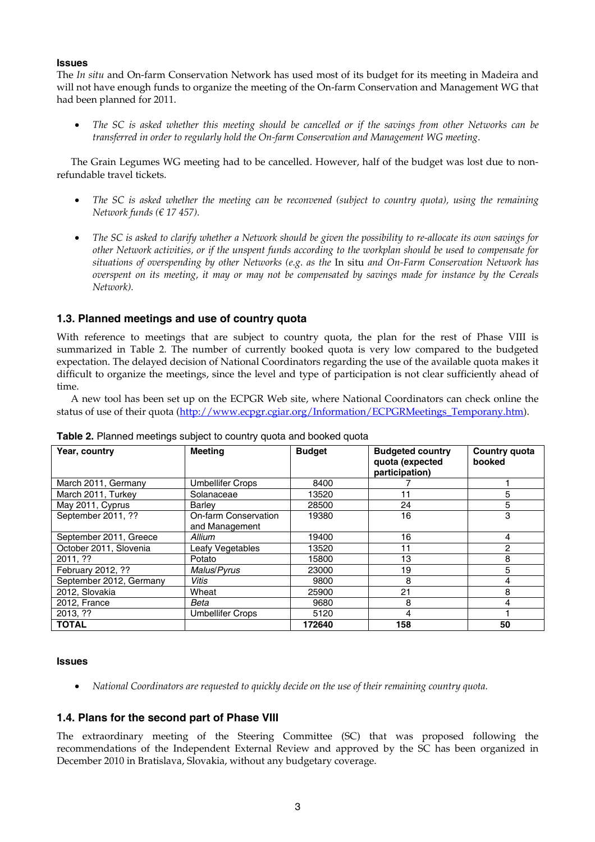### **Issues**

The *In situ* and On-farm Conservation Network has used most of its budget for its meeting in Madeira and will not have enough funds to organize the meeting of the On-farm Conservation and Management WG that had been planned for 2011.

• *The SC is asked whether this meeting should be cancelled or if the savings from other Networks can be transferred in order to regularly hold the On-farm Conservation and Management WG meeting*.

 The Grain Legumes WG meeting had to be cancelled. However, half of the budget was lost due to nonrefundable travel tickets.

- *The SC is asked whether the meeting can be reconvened (subject to country quota), using the remaining Network funds (€ 17 457).*
- *The SC is asked to clarify whether a Network should be given the possibility to re-allocate its own savings for other Network activities, or if the unspent funds according to the workplan should be used to compensate for situations of overspending by other Networks (e.g. as the* In situ *and On-Farm Conservation Network has overspent on its meeting, it may or may not be compensated by savings made for instance by the Cereals Network).*

# **1.3. Planned meetings and use of country quota**

With reference to meetings that are subject to country quota, the plan for the rest of Phase VIII is summarized in Table 2. The number of currently booked quota is very low compared to the budgeted expectation. The delayed decision of National Coordinators regarding the use of the available quota makes it difficult to organize the meetings, since the level and type of participation is not clear sufficiently ahead of time.

 A new tool has been set up on the ECPGR Web site, where National Coordinators can check online the status of use of their quota (http://www.ecpgr.cgiar.org/Information/ECPGRMeetings Temporany.htm).

| Year, country           | <b>Meeting</b>                         | <b>Budget</b> | <b>Budgeted country</b><br>quota (expected<br>participation) | Country quota<br>booked |
|-------------------------|----------------------------------------|---------------|--------------------------------------------------------------|-------------------------|
| March 2011, Germany     | <b>Umbellifer Crops</b>                | 8400          |                                                              |                         |
| March 2011, Turkey      | Solanaceae                             | 13520         | 11                                                           | 5                       |
| May 2011, Cyprus        | Barley                                 | 28500         | 24                                                           | 5                       |
| September 2011, ??      | On-farm Conservation<br>and Management | 19380         | 16                                                           | 3                       |
| September 2011, Greece  | Allium                                 | 19400         | 16                                                           | 4                       |
| October 2011, Slovenia  | Leafy Vegetables                       | 13520         | 11                                                           | 2                       |
| 2011, ??                | Potato                                 | 15800         | 13                                                           | 8                       |
| February 2012, ??       | <b>Malus/Pyrus</b>                     | 23000         | 19                                                           | 5                       |
| September 2012, Germany | <b>Vitis</b>                           | 9800          | 8                                                            | 4                       |
| 2012, Slovakia          | Wheat                                  | 25900         | 21                                                           | 8                       |
| 2012, France            | Beta                                   | 9680          | 8                                                            | 4                       |
| 2013, ??                | <b>Umbellifer Crops</b>                | 5120          | 4                                                            |                         |
| <b>TOTAL</b>            |                                        | 172640        | 158                                                          | 50                      |

**Table 2.** Planned meetings subject to country quota and booked quota

#### **Issues**

• *National Coordinators are requested to quickly decide on the use of their remaining country quota.* 

### **1.4. Plans for the second part of Phase VIII**

The extraordinary meeting of the Steering Committee (SC) that was proposed following the recommendations of the Independent External Review and approved by the SC has been organized in December 2010 in Bratislava, Slovakia, without any budgetary coverage.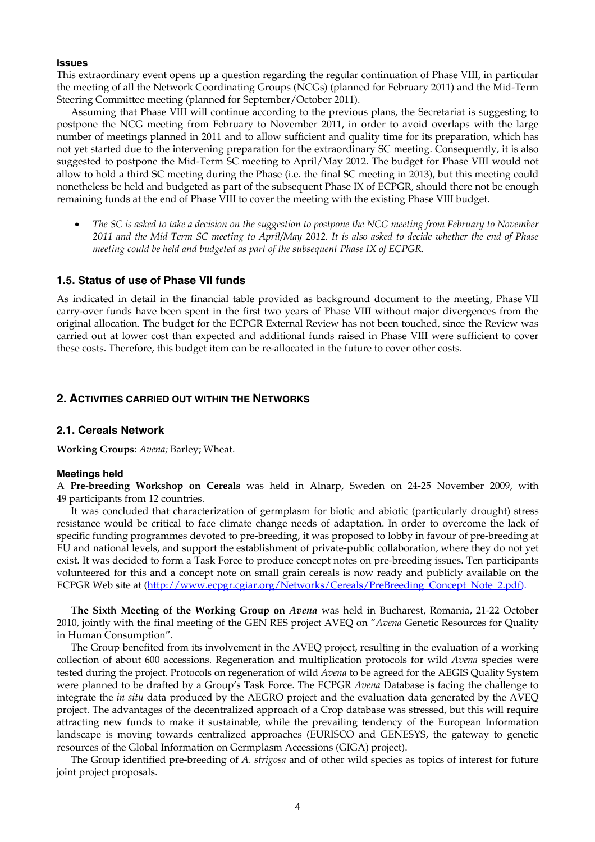#### **Issues**

This extraordinary event opens up a question regarding the regular continuation of Phase VIII, in particular the meeting of all the Network Coordinating Groups (NCGs) (planned for February 2011) and the Mid-Term Steering Committee meeting (planned for September/October 2011).

 Assuming that Phase VIII will continue according to the previous plans, the Secretariat is suggesting to postpone the NCG meeting from February to November 2011, in order to avoid overlaps with the large number of meetings planned in 2011 and to allow sufficient and quality time for its preparation, which has not yet started due to the intervening preparation for the extraordinary SC meeting. Consequently, it is also suggested to postpone the Mid-Term SC meeting to April/May 2012. The budget for Phase VIII would not allow to hold a third SC meeting during the Phase (i.e. the final SC meeting in 2013), but this meeting could nonetheless be held and budgeted as part of the subsequent Phase IX of ECPGR, should there not be enough remaining funds at the end of Phase VIII to cover the meeting with the existing Phase VIII budget.

• *The SC is asked to take a decision on the suggestion to postpone the NCG meeting from February to November 2011 and the Mid-Term SC meeting to April/May 2012. It is also asked to decide whether the end-of-Phase meeting could be held and budgeted as part of the subsequent Phase IX of ECPGR.* 

### **1.5. Status of use of Phase VII funds**

As indicated in detail in the financial table provided as background document to the meeting, Phase VII carry-over funds have been spent in the first two years of Phase VIII without major divergences from the original allocation. The budget for the ECPGR External Review has not been touched, since the Review was carried out at lower cost than expected and additional funds raised in Phase VIII were sufficient to cover these costs. Therefore, this budget item can be re-allocated in the future to cover other costs.

### **2. ACTIVITIES CARRIED OUT WITHIN THE NETWORKS**

#### **2.1. Cereals Network**

**Working Groups**: *Avena;* Barley; Wheat.

#### **Meetings held**

A **Pre-breeding Workshop on Cereals** was held in Alnarp, Sweden on 24-25 November 2009, with 49 participants from 12 countries.

 It was concluded that characterization of germplasm for biotic and abiotic (particularly drought) stress resistance would be critical to face climate change needs of adaptation. In order to overcome the lack of specific funding programmes devoted to pre-breeding, it was proposed to lobby in favour of pre-breeding at EU and national levels, and support the establishment of private-public collaboration, where they do not yet exist. It was decided to form a Task Force to produce concept notes on pre-breeding issues. Ten participants volunteered for this and a concept note on small grain cereals is now ready and publicly available on the ECPGR Web site at (http://www.ecpgr.cgiar.org/Networks/Cereals/PreBreeding\_Concept\_Note\_2.pdf).

 **The Sixth Meeting of the Working Group on** *Avena* was held in Bucharest, Romania, 21-22 October 2010, jointly with the final meeting of the GEN RES project AVEQ on "*Avena* Genetic Resources for Quality in Human Consumption".

 The Group benefited from its involvement in the AVEQ project, resulting in the evaluation of a working collection of about 600 accessions. Regeneration and multiplication protocols for wild *Avena* species were tested during the project. Protocols on regeneration of wild *Avena* to be agreed for the AEGIS Quality System were planned to be drafted by a Group's Task Force. The ECPGR *Avena* Database is facing the challenge to integrate the *in situ* data produced by the AEGRO project and the evaluation data generated by the AVEQ project. The advantages of the decentralized approach of a Crop database was stressed, but this will require attracting new funds to make it sustainable, while the prevailing tendency of the European Information landscape is moving towards centralized approaches (EURISCO and GENESYS, the gateway to genetic resources of the Global Information on Germplasm Accessions (GIGA) project).

 The Group identified pre-breeding of *A. strigosa* and of other wild species as topics of interest for future joint project proposals.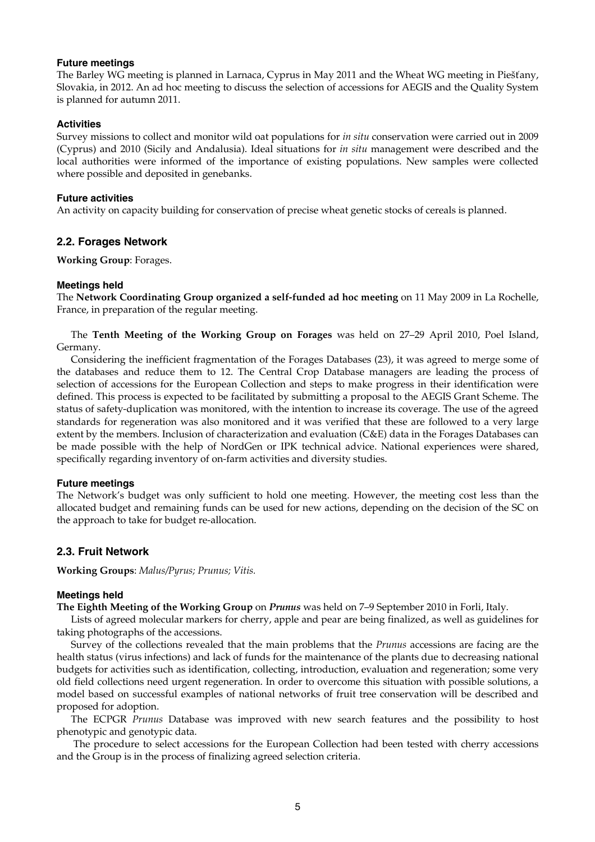#### **Future meetings**

The Barley WG meeting is planned in Larnaca, Cyprus in May 2011 and the Wheat WG meeting in Piešťany, Slovakia, in 2012. An ad hoc meeting to discuss the selection of accessions for AEGIS and the Quality System is planned for autumn 2011.

### **Activities**

Survey missions to collect and monitor wild oat populations for *in situ* conservation were carried out in 2009 (Cyprus) and 2010 (Sicily and Andalusia). Ideal situations for *in situ* management were described and the local authorities were informed of the importance of existing populations. New samples were collected where possible and deposited in genebanks.

### **Future activities**

An activity on capacity building for conservation of precise wheat genetic stocks of cereals is planned.

### **2.2. Forages Network**

**Working Group**: Forages.

### **Meetings held**

The **Network Coordinating Group organized a self-funded ad hoc meeting** on 11 May 2009 in La Rochelle, France, in preparation of the regular meeting.

 The **Tenth Meeting of the Working Group on Forages** was held on 27–29 April 2010, Poel Island, Germany.

 Considering the inefficient fragmentation of the Forages Databases (23), it was agreed to merge some of the databases and reduce them to 12. The Central Crop Database managers are leading the process of selection of accessions for the European Collection and steps to make progress in their identification were defined. This process is expected to be facilitated by submitting a proposal to the AEGIS Grant Scheme. The status of safety-duplication was monitored, with the intention to increase its coverage. The use of the agreed standards for regeneration was also monitored and it was verified that these are followed to a very large extent by the members. Inclusion of characterization and evaluation (C&E) data in the Forages Databases can be made possible with the help of NordGen or IPK technical advice. National experiences were shared, specifically regarding inventory of on-farm activities and diversity studies.

### **Future meetings**

The Network's budget was only sufficient to hold one meeting. However, the meeting cost less than the allocated budget and remaining funds can be used for new actions, depending on the decision of the SC on the approach to take for budget re-allocation.

### **2.3. Fruit Network**

**Working Groups**: *Malus/Pyrus; Prunus; Vitis.*

### **Meetings held**

**The Eighth Meeting of the Working Group** on *Prunus* was held on 7–9 September 2010 in Forli, Italy.

 Lists of agreed molecular markers for cherry, apple and pear are being finalized, as well as guidelines for taking photographs of the accessions.

Survey of the collections revealed that the main problems that the *Prunus* accessions are facing are the health status (virus infections) and lack of funds for the maintenance of the plants due to decreasing national budgets for activities such as identification, collecting, introduction, evaluation and regeneration; some very old field collections need urgent regeneration. In order to overcome this situation with possible solutions, a model based on successful examples of national networks of fruit tree conservation will be described and proposed for adoption.

 The ECPGR *Prunus* Database was improved with new search features and the possibility to host phenotypic and genotypic data.

 The procedure to select accessions for the European Collection had been tested with cherry accessions and the Group is in the process of finalizing agreed selection criteria.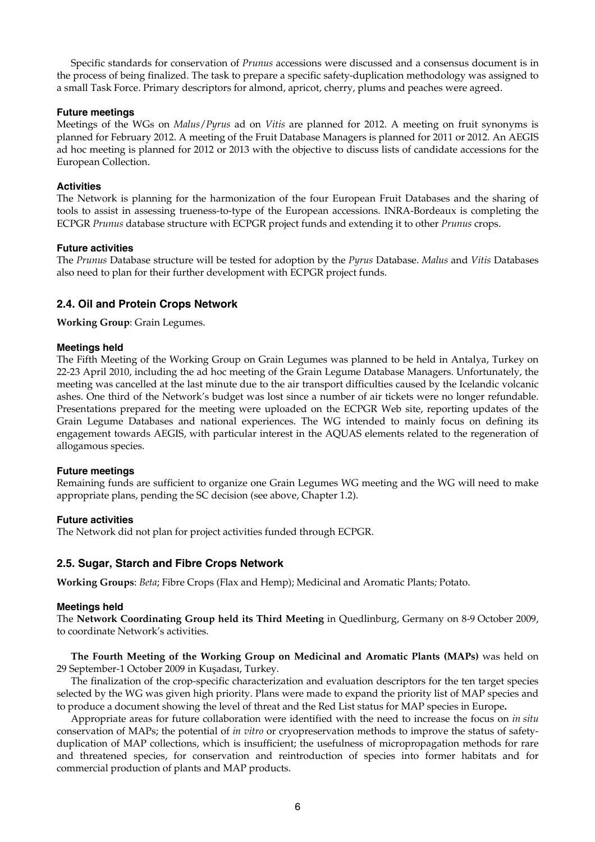Specific standards for conservation of *Prunus* accessions were discussed and a consensus document is in the process of being finalized. The task to prepare a specific safety-duplication methodology was assigned to a small Task Force. Primary descriptors for almond, apricot, cherry, plums and peaches were agreed.

### **Future meetings**

Meetings of the WGs on *Malus*/*Pyrus* ad on *Vitis* are planned for 2012. A meeting on fruit synonyms is planned for February 2012. A meeting of the Fruit Database Managers is planned for 2011 or 2012. An AEGIS ad hoc meeting is planned for 2012 or 2013 with the objective to discuss lists of candidate accessions for the European Collection.

### **Activities**

The Network is planning for the harmonization of the four European Fruit Databases and the sharing of tools to assist in assessing trueness-to-type of the European accessions. INRA-Bordeaux is completing the ECPGR *Prunus* database structure with ECPGR project funds and extending it to other *Prunus* crops.

### **Future activities**

The *Prunus* Database structure will be tested for adoption by the *Pyrus* Database. *Malus* and *Vitis* Databases also need to plan for their further development with ECPGR project funds.

### **2.4. Oil and Protein Crops Network**

**Working Group**: Grain Legumes.

### **Meetings held**

The Fifth Meeting of the Working Group on Grain Legumes was planned to be held in Antalya, Turkey on 22-23 April 2010, including the ad hoc meeting of the Grain Legume Database Managers. Unfortunately, the meeting was cancelled at the last minute due to the air transport difficulties caused by the Icelandic volcanic ashes. One third of the Network's budget was lost since a number of air tickets were no longer refundable. Presentations prepared for the meeting were uploaded on the ECPGR Web site, reporting updates of the Grain Legume Databases and national experiences. The WG intended to mainly focus on defining its engagement towards AEGIS, with particular interest in the AQUAS elements related to the regeneration of allogamous species.

#### **Future meetings**

Remaining funds are sufficient to organize one Grain Legumes WG meeting and the WG will need to make appropriate plans, pending the SC decision (see above, Chapter 1.2).

#### **Future activities**

The Network did not plan for project activities funded through ECPGR.

### **2.5. Sugar, Starch and Fibre Crops Network**

**Working Groups**: *Beta*; Fibre Crops (Flax and Hemp); Medicinal and Aromatic Plants*;* Potato.

#### **Meetings held**

The **Network Coordinating Group held its Third Meeting** in Quedlinburg, Germany on 8-9 October 2009, to coordinate Network's activities.

 **The Fourth Meeting of the Working Group on Medicinal and Aromatic Plants (MAPs)** was held on 29 September-1 October 2009 in Kuşadası, Turkey.

 The finalization of the crop-specific characterization and evaluation descriptors for the ten target species selected by the WG was given high priority. Plans were made to expand the priority list of MAP species and to produce a document showing the level of threat and the Red List status for MAP species in Europe**.**

 Appropriate areas for future collaboration were identified with the need to increase the focus on *in situ* conservation of MAPs; the potential of *in vitro* or cryopreservation methods to improve the status of safetyduplication of MAP collections, which is insufficient; the usefulness of micropropagation methods for rare and threatened species, for conservation and reintroduction of species into former habitats and for commercial production of plants and MAP products.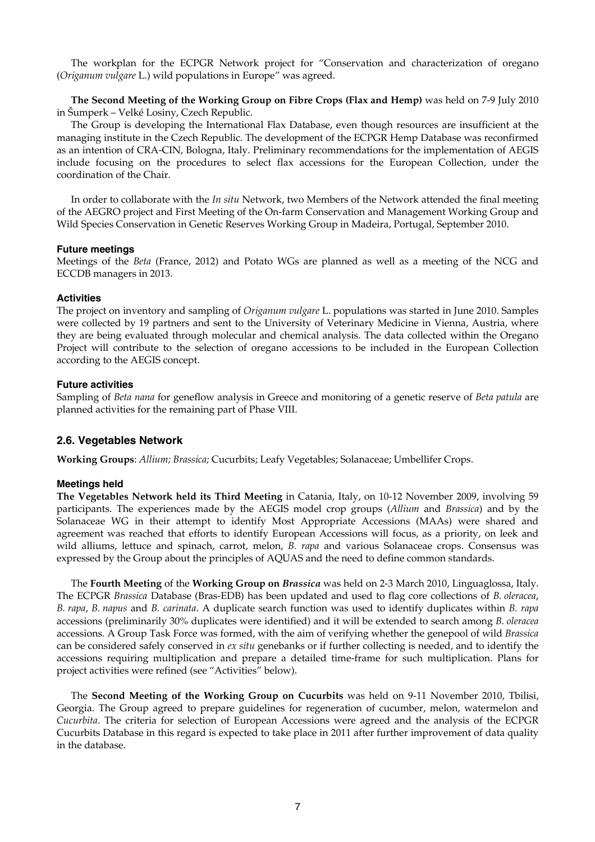The workplan for the ECPGR Network project for "Conservation and characterization of oregano (*Origanum vulgare* L.) wild populations in Europe" was agreed.

 **The Second Meeting of the Working Group on Fibre Crops (Flax and Hemp)** was held on 7-9 July 2010 in Šumperk – Velké Losiny, Czech Republic.

 The Group is developing the International Flax Database, even though resources are insufficient at the managing institute in the Czech Republic. The development of the ECPGR Hemp Database was reconfirmed as an intention of CRA-CIN, Bologna, Italy. Preliminary recommendations for the implementation of AEGIS include focusing on the procedures to select flax accessions for the European Collection, under the coordination of the Chair.

 In order to collaborate with the *In situ* Network, two Members of the Network attended the final meeting of the AEGRO project and First Meeting of the On-farm Conservation and Management Working Group and Wild Species Conservation in Genetic Reserves Working Group in Madeira, Portugal, September 2010.

#### **Future meetings**

Meetings of the *Beta* (France, 2012) and Potato WGs are planned as well as a meeting of the NCG and ECCDB managers in 2013.

#### **Activities**

The project on inventory and sampling of *Origanum vulgare* L. populations was started in June 2010. Samples were collected by 19 partners and sent to the University of Veterinary Medicine in Vienna, Austria, where they are being evaluated through molecular and chemical analysis. The data collected within the Oregano Project will contribute to the selection of oregano accessions to be included in the European Collection according to the AEGIS concept.

#### **Future activities**

Sampling of *Beta nana* for geneflow analysis in Greece and monitoring of a genetic reserve of *Beta patula* are planned activities for the remaining part of Phase VIII.

#### **2.6. Vegetables Network**

**Working Groups**: *Allium; Brassica;* Cucurbits; Leafy Vegetables; Solanaceae; Umbellifer Crops.

#### **Meetings held**

**The Vegetables Network held its Third Meeting** in Catania, Italy, on 10-12 November 2009, involving 59 participants. The experiences made by the AEGIS model crop groups (*Allium* and *Brassica*) and by the Solanaceae WG in their attempt to identify Most Appropriate Accessions (MAAs) were shared and agreement was reached that efforts to identify European Accessions will focus, as a priority, on leek and wild alliums, lettuce and spinach, carrot, melon, *B. rapa* and various Solanaceae crops. Consensus was expressed by the Group about the principles of AQUAS and the need to define common standards.

 The **Fourth Meeting** of the **Working Group on** *Brassica* was held on 2-3 March 2010, Linguaglossa, Italy. The ECPGR *Brassica* Database (Bras-EDB) has been updated and used to flag core collections of *B. oleracea*, *B. rapa*, *B. napus* and *B. carinata*. A duplicate search function was used to identify duplicates within *B. rapa*  accessions (preliminarily 30% duplicates were identified) and it will be extended to search among *B. oleracea* accessions. A Group Task Force was formed, with the aim of verifying whether the genepool of wild *Brassica* can be considered safely conserved in *ex situ* genebanks or if further collecting is needed, and to identify the accessions requiring multiplication and prepare a detailed time-frame for such multiplication. Plans for project activities were refined (see "Activities" below).

 The **Second Meeting of the Working Group on Cucurbits** was held on 9-11 November 2010, Tbilisi, Georgia. The Group agreed to prepare guidelines for regeneration of cucumber, melon, watermelon and *Cucurbita*. The criteria for selection of European Accessions were agreed and the analysis of the ECPGR Cucurbits Database in this regard is expected to take place in 2011 after further improvement of data quality in the database.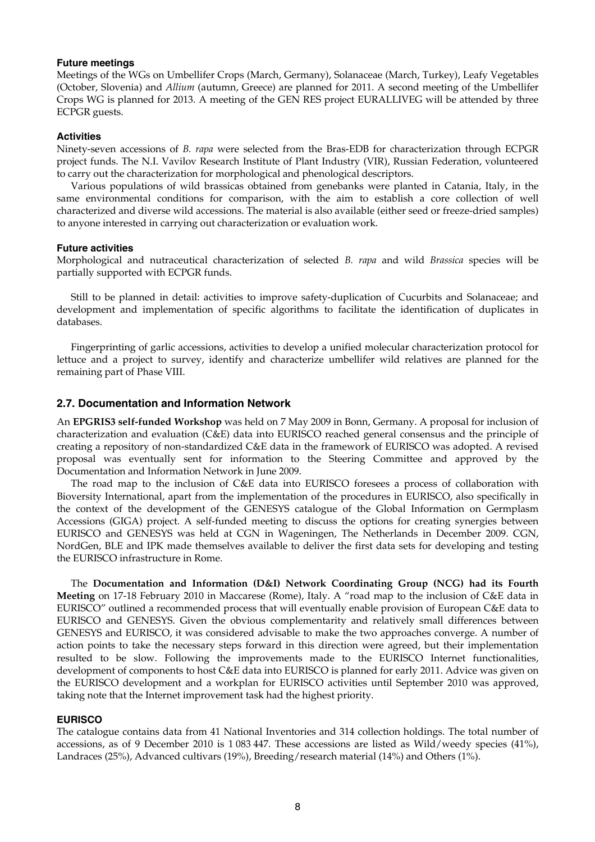#### **Future meetings**

Meetings of the WGs on Umbellifer Crops (March, Germany), Solanaceae (March, Turkey), Leafy Vegetables (October, Slovenia) and *Allium* (autumn, Greece) are planned for 2011. A second meeting of the Umbellifer Crops WG is planned for 2013. A meeting of the GEN RES project EURALLIVEG will be attended by three ECPGR guests.

#### **Activities**

Ninety-seven accessions of *B. rapa* were selected from the Bras-EDB for characterization through ECPGR project funds. The N.I. Vavilov Research Institute of Plant Industry (VIR), Russian Federation, volunteered to carry out the characterization for morphological and phenological descriptors.

 Various populations of wild brassicas obtained from genebanks were planted in Catania, Italy, in the same environmental conditions for comparison, with the aim to establish a core collection of well characterized and diverse wild accessions. The material is also available (either seed or freeze-dried samples) to anyone interested in carrying out characterization or evaluation work.

#### **Future activities**

Morphological and nutraceutical characterization of selected *B. rapa* and wild *Brassica* species will be partially supported with ECPGR funds.

 Still to be planned in detail: activities to improve safety-duplication of Cucurbits and Solanaceae; and development and implementation of specific algorithms to facilitate the identification of duplicates in databases.

 Fingerprinting of garlic accessions, activities to develop a unified molecular characterization protocol for lettuce and a project to survey, identify and characterize umbellifer wild relatives are planned for the remaining part of Phase VIII.

#### **2.7. Documentation and Information Network**

An **EPGRIS3 self-funded Workshop** was held on 7 May 2009 in Bonn, Germany. A proposal for inclusion of characterization and evaluation (C&E) data into EURISCO reached general consensus and the principle of creating a repository of non-standardized C&E data in the framework of EURISCO was adopted. A revised proposal was eventually sent for information to the Steering Committee and approved by the Documentation and Information Network in June 2009.

 The road map to the inclusion of C&E data into EURISCO foresees a process of collaboration with Bioversity International, apart from the implementation of the procedures in EURISCO, also specifically in the context of the development of the GENESYS catalogue of the Global Information on Germplasm Accessions (GIGA) project. A self-funded meeting to discuss the options for creating synergies between EURISCO and GENESYS was held at CGN in Wageningen, The Netherlands in December 2009. CGN, NordGen, BLE and IPK made themselves available to deliver the first data sets for developing and testing the EURISCO infrastructure in Rome.

The **Documentation and Information (D&I) Network Coordinating Group (NCG) had its Fourth Meeting** on 17-18 February 2010 in Maccarese (Rome), Italy. A "road map to the inclusion of C&E data in EURISCO" outlined a recommended process that will eventually enable provision of European C&E data to EURISCO and GENESYS. Given the obvious complementarity and relatively small differences between GENESYS and EURISCO, it was considered advisable to make the two approaches converge. A number of action points to take the necessary steps forward in this direction were agreed, but their implementation resulted to be slow. Following the improvements made to the EURISCO Internet functionalities, development of components to host C&E data into EURISCO is planned for early 2011. Advice was given on the EURISCO development and a workplan for EURISCO activities until September 2010 was approved, taking note that the Internet improvement task had the highest priority.

### **EURISCO**

The catalogue contains data from 41 National Inventories and 314 collection holdings. The total number of accessions, as of 9 December 2010 is 1 083 447. These accessions are listed as Wild/weedy species (41%), Landraces (25%), Advanced cultivars (19%), Breeding/research material (14%) and Others (1%).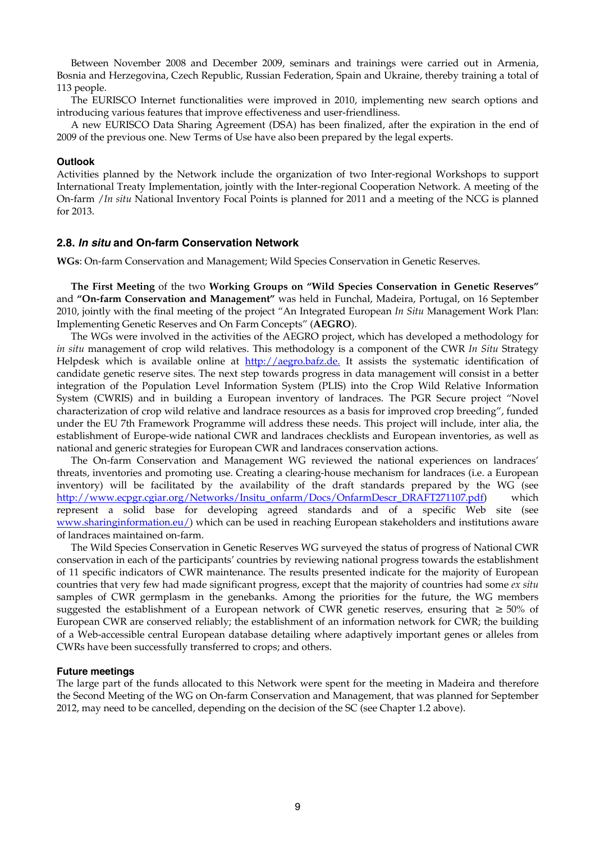Between November 2008 and December 2009, seminars and trainings were carried out in Armenia, Bosnia and Herzegovina, Czech Republic, Russian Federation, Spain and Ukraine, thereby training a total of 113 people.

 The EURISCO Internet functionalities were improved in 2010, implementing new search options and introducing various features that improve effectiveness and user-friendliness.

A new EURISCO Data Sharing Agreement (DSA) has been finalized, after the expiration in the end of 2009 of the previous one. New Terms of Use have also been prepared by the legal experts.

#### **Outlook**

Activities planned by the Network include the organization of two Inter-regional Workshops to support International Treaty Implementation, jointly with the Inter-regional Cooperation Network. A meeting of the On-farm /*In situ* National Inventory Focal Points is planned for 2011 and a meeting of the NCG is planned for 2013.

#### **2.8.** *In situ* **and On-farm Conservation Network**

**WGs**: On-farm Conservation and Management; Wild Species Conservation in Genetic Reserves.

 **The First Meeting** of the two **Working Groups on "Wild Species Conservation in Genetic Reserves"** and **"On-farm Conservation and Management"** was held in Funchal, Madeira, Portugal, on 16 September 2010, jointly with the final meeting of the project "An Integrated European *In Situ* Management Work Plan: Implementing Genetic Reserves and On Farm Concepts" (**AEGRO**).

The WGs were involved in the activities of the AEGRO project, which has developed a methodology for *in situ* management of crop wild relatives. This methodology is a component of the CWR *In Situ* Strategy Helpdesk which is available online at http://aegro.bafz.de. It assists the systematic identification of candidate genetic reserve sites. The next step towards progress in data management will consist in a better integration of the Population Level Information System (PLIS) into the Crop Wild Relative Information System (CWRIS) and in building a European inventory of landraces. The PGR Secure project "Novel characterization of crop wild relative and landrace resources as a basis for improved crop breeding", funded under the EU 7th Framework Programme will address these needs. This project will include, inter alia, the establishment of Europe-wide national CWR and landraces checklists and European inventories, as well as national and generic strategies for European CWR and landraces conservation actions.

The On-farm Conservation and Management WG reviewed the national experiences on landraces' threats, inventories and promoting use. Creating a clearing-house mechanism for landraces (i.e. a European inventory) will be facilitated by the availability of the draft standards prepared by the WG (see http://www.ecpgr.cgiar.org/Networks/Insitu\_onfarm/Docs/OnfarmDescr\_DRAFT271107.pdf) which represent a solid base for developing agreed standards and of a specific Web site (see www.sharinginformation.eu/) which can be used in reaching European stakeholders and institutions aware of landraces maintained on-farm.

The Wild Species Conservation in Genetic Reserves WG surveyed the status of progress of National CWR conservation in each of the participants' countries by reviewing national progress towards the establishment of 11 specific indicators of CWR maintenance. The results presented indicate for the majority of European countries that very few had made significant progress, except that the majority of countries had some *ex situ* samples of CWR germplasm in the genebanks. Among the priorities for the future, the WG members suggested the establishment of a European network of CWR genetic reserves, ensuring that ≥ 50% of European CWR are conserved reliably; the establishment of an information network for CWR; the building of a Web-accessible central European database detailing where adaptively important genes or alleles from CWRs have been successfully transferred to crops; and others.

#### **Future meetings**

The large part of the funds allocated to this Network were spent for the meeting in Madeira and therefore the Second Meeting of the WG on On-farm Conservation and Management, that was planned for September 2012, may need to be cancelled, depending on the decision of the SC (see Chapter 1.2 above).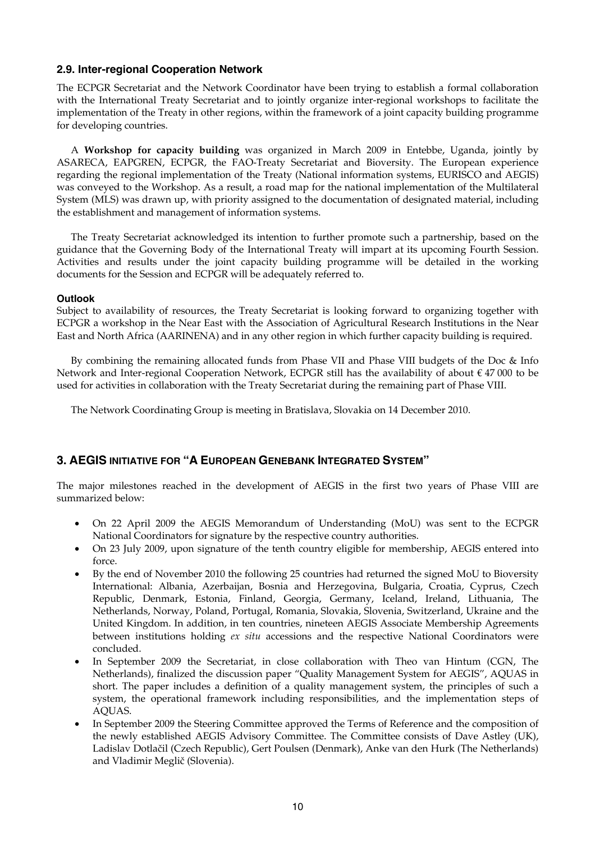### **2.9. Inter-regional Cooperation Network**

The ECPGR Secretariat and the Network Coordinator have been trying to establish a formal collaboration with the International Treaty Secretariat and to jointly organize inter-regional workshops to facilitate the implementation of the Treaty in other regions, within the framework of a joint capacity building programme for developing countries.

 A **Workshop for capacity building** was organized in March 2009 in Entebbe, Uganda, jointly by ASARECA, EAPGREN, ECPGR, the FAO-Treaty Secretariat and Bioversity. The European experience regarding the regional implementation of the Treaty (National information systems, EURISCO and AEGIS) was conveyed to the Workshop. As a result, a road map for the national implementation of the Multilateral System (MLS) was drawn up, with priority assigned to the documentation of designated material, including the establishment and management of information systems.

 The Treaty Secretariat acknowledged its intention to further promote such a partnership, based on the guidance that the Governing Body of the International Treaty will impart at its upcoming Fourth Session. Activities and results under the joint capacity building programme will be detailed in the working documents for the Session and ECPGR will be adequately referred to.

### **Outlook**

Subject to availability of resources, the Treaty Secretariat is looking forward to organizing together with ECPGR a workshop in the Near East with the Association of Agricultural Research Institutions in the Near East and North Africa (AARINENA) and in any other region in which further capacity building is required.

 By combining the remaining allocated funds from Phase VII and Phase VIII budgets of the Doc & Info Network and Inter-regional Cooperation Network, ECPGR still has the availability of about € 47 000 to be used for activities in collaboration with the Treaty Secretariat during the remaining part of Phase VIII.

The Network Coordinating Group is meeting in Bratislava, Slovakia on 14 December 2010.

# **3. AEGIS INITIATIVE FOR "A EUROPEAN GENEBANK INTEGRATED SYSTEM"**

The major milestones reached in the development of AEGIS in the first two years of Phase VIII are summarized below:

- On 22 April 2009 the AEGIS Memorandum of Understanding (MoU) was sent to the ECPGR National Coordinators for signature by the respective country authorities.
- On 23 July 2009, upon signature of the tenth country eligible for membership, AEGIS entered into force.
- By the end of November 2010 the following 25 countries had returned the signed MoU to Bioversity International: Albania, Azerbaijan, Bosnia and Herzegovina, Bulgaria, Croatia, Cyprus, Czech Republic, Denmark, Estonia, Finland, Georgia, Germany, Iceland, Ireland, Lithuania, The Netherlands, Norway, Poland, Portugal, Romania, Slovakia, Slovenia, Switzerland, Ukraine and the United Kingdom. In addition, in ten countries, nineteen AEGIS Associate Membership Agreements between institutions holding *ex situ* accessions and the respective National Coordinators were concluded.
- In September 2009 the Secretariat, in close collaboration with Theo van Hintum (CGN, The Netherlands), finalized the discussion paper "Quality Management System for AEGIS", AQUAS in short. The paper includes a definition of a quality management system, the principles of such a system, the operational framework including responsibilities, and the implementation steps of AQUAS.
- In September 2009 the Steering Committee approved the Terms of Reference and the composition of the newly established AEGIS Advisory Committee. The Committee consists of Dave Astley (UK), Ladislav Dotlačil (Czech Republic), Gert Poulsen (Denmark), Anke van den Hurk (The Netherlands) and Vladimir Meglič (Slovenia).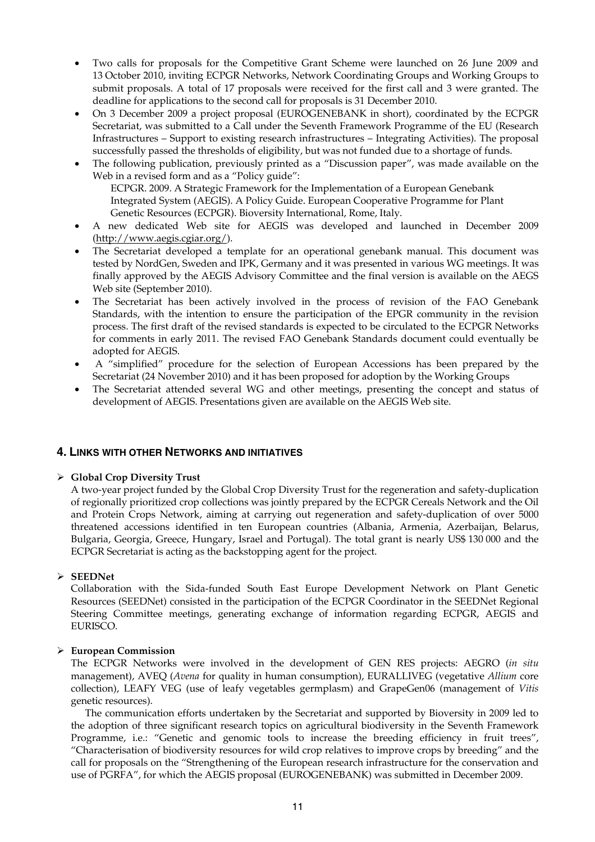- Two calls for proposals for the Competitive Grant Scheme were launched on 26 June 2009 and 13 October 2010, inviting ECPGR Networks, Network Coordinating Groups and Working Groups to submit proposals. A total of 17 proposals were received for the first call and 3 were granted. The deadline for applications to the second call for proposals is 31 December 2010.
- On 3 December 2009 a project proposal (EUROGENEBANK in short), coordinated by the ECPGR Secretariat, was submitted to a Call under the Seventh Framework Programme of the EU (Research Infrastructures – Support to existing research infrastructures – Integrating Activities). The proposal successfully passed the thresholds of eligibility, but was not funded due to a shortage of funds.
- The following publication, previously printed as a "Discussion paper", was made available on the Web in a revised form and as a "Policy guide":

ECPGR. 2009. A Strategic Framework for the Implementation of a European Genebank Integrated System (AEGIS). A Policy Guide. European Cooperative Programme for Plant Genetic Resources (ECPGR). Bioversity International, Rome, Italy.

- A new dedicated Web site for AEGIS was developed and launched in December 2009 (http://www.aegis.cgiar.org/).
- The Secretariat developed a template for an operational genebank manual. This document was tested by NordGen, Sweden and IPK, Germany and it was presented in various WG meetings. It was finally approved by the AEGIS Advisory Committee and the final version is available on the AEGS Web site (September 2010).
- The Secretariat has been actively involved in the process of revision of the FAO Genebank Standards, with the intention to ensure the participation of the EPGR community in the revision process. The first draft of the revised standards is expected to be circulated to the ECPGR Networks for comments in early 2011. The revised FAO Genebank Standards document could eventually be adopted for AEGIS.
- A "simplified" procedure for the selection of European Accessions has been prepared by the Secretariat (24 November 2010) and it has been proposed for adoption by the Working Groups
- The Secretariat attended several WG and other meetings, presenting the concept and status of development of AEGIS. Presentations given are available on the AEGIS Web site.

### **4. LINKS WITH OTHER NETWORKS AND INITIATIVES**

### ¾ **Global Crop Diversity Trust**

A two-year project funded by the Global Crop Diversity Trust for the regeneration and safety-duplication of regionally prioritized crop collections was jointly prepared by the ECPGR Cereals Network and the Oil and Protein Crops Network, aiming at carrying out regeneration and safety-duplication of over 5000 threatened accessions identified in ten European countries (Albania, Armenia, Azerbaijan, Belarus, Bulgaria, Georgia, Greece, Hungary, Israel and Portugal). The total grant is nearly US\$ 130 000 and the ECPGR Secretariat is acting as the backstopping agent for the project.

### ¾ **SEEDNet**

Collaboration with the Sida-funded South East Europe Development Network on Plant Genetic Resources (SEEDNet) consisted in the participation of the ECPGR Coordinator in the SEEDNet Regional Steering Committee meetings, generating exchange of information regarding ECPGR, AEGIS and EURISCO.

### ¾ **European Commission**

The ECPGR Networks were involved in the development of GEN RES projects: AEGRO (*in situ* management), AVEQ (*Avena* for quality in human consumption), EURALLIVEG (vegetative *Allium* core collection), LEAFY VEG (use of leafy vegetables germplasm) and GrapeGen06 (management of *Vitis* genetic resources).

 The communication efforts undertaken by the Secretariat and supported by Bioversity in 2009 led to the adoption of three significant research topics on agricultural biodiversity in the Seventh Framework Programme, i.e.: "Genetic and genomic tools to increase the breeding efficiency in fruit trees", "Characterisation of biodiversity resources for wild crop relatives to improve crops by breeding" and the call for proposals on the "Strengthening of the European research infrastructure for the conservation and use of PGRFA", for which the AEGIS proposal (EUROGENEBANK) was submitted in December 2009.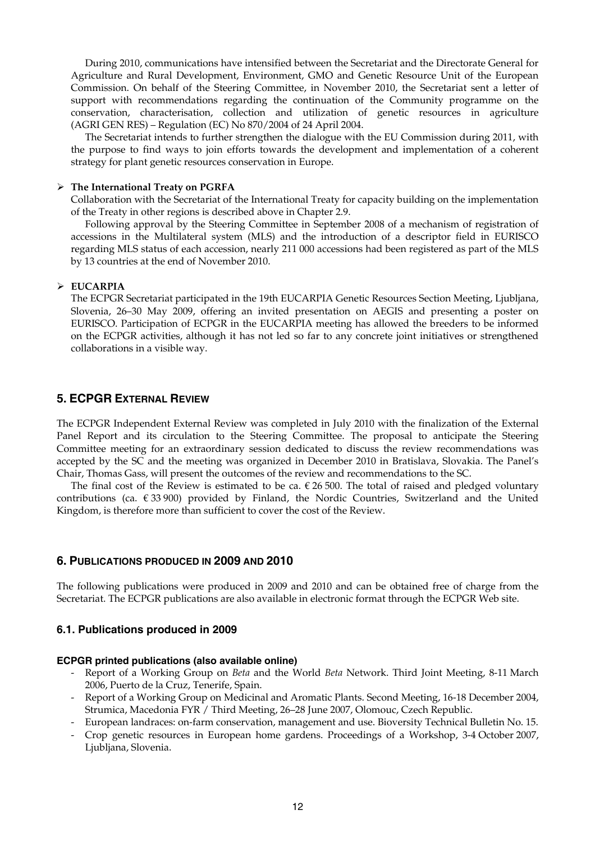During 2010, communications have intensified between the Secretariat and the Directorate General for Agriculture and Rural Development, Environment, GMO and Genetic Resource Unit of the European Commission. On behalf of the Steering Committee, in November 2010, the Secretariat sent a letter of support with recommendations regarding the continuation of the Community programme on the conservation, characterisation, collection and utilization of genetic resources in agriculture (AGRI GEN RES) – Regulation (EC) No 870/2004 of 24 April 2004.

 The Secretariat intends to further strengthen the dialogue with the EU Commission during 2011, with the purpose to find ways to join efforts towards the development and implementation of a coherent strategy for plant genetic resources conservation in Europe.

#### ¾ **The International Treaty on PGRFA**

Collaboration with the Secretariat of the International Treaty for capacity building on the implementation of the Treaty in other regions is described above in Chapter 2.9.

 Following approval by the Steering Committee in September 2008 of a mechanism of registration of accessions in the Multilateral system (MLS) and the introduction of a descriptor field in EURISCO regarding MLS status of each accession, nearly 211 000 accessions had been registered as part of the MLS by 13 countries at the end of November 2010.

#### ¾ **EUCARPIA**

The ECPGR Secretariat participated in the 19th EUCARPIA Genetic Resources Section Meeting, Ljubljana, Slovenia, 26–30 May 2009, offering an invited presentation on AEGIS and presenting a poster on EURISCO. Participation of ECPGR in the EUCARPIA meeting has allowed the breeders to be informed on the ECPGR activities, although it has not led so far to any concrete joint initiatives or strengthened collaborations in a visible way.

### **5. ECPGR EXTERNAL REVIEW**

The ECPGR Independent External Review was completed in July 2010 with the finalization of the External Panel Report and its circulation to the Steering Committee. The proposal to anticipate the Steering Committee meeting for an extraordinary session dedicated to discuss the review recommendations was accepted by the SC and the meeting was organized in December 2010 in Bratislava, Slovakia. The Panel's Chair, Thomas Gass, will present the outcomes of the review and recommendations to the SC.

The final cost of the Review is estimated to be ca.  $\epsilon$  26 500. The total of raised and pledged voluntary contributions (ca. € 33 900) provided by Finland, the Nordic Countries, Switzerland and the United Kingdom, is therefore more than sufficient to cover the cost of the Review.

#### **6. PUBLICATIONS PRODUCED IN 2009 AND 2010**

The following publications were produced in 2009 and 2010 and can be obtained free of charge from the Secretariat. The ECPGR publications are also available in electronic format through the ECPGR Web site.

### **6.1. Publications produced in 2009**

#### **ECPGR printed publications (also available online)**

- Report of a Working Group on *Beta* and the World *Beta* Network. Third Joint Meeting, 8-11 March 2006, Puerto de la Cruz, Tenerife, Spain.
- Report of a Working Group on Medicinal and Aromatic Plants. Second Meeting, 16-18 December 2004, Strumica, Macedonia FYR / Third Meeting, 26–28 June 2007, Olomouc, Czech Republic.
- European landraces: on-farm conservation, management and use. Bioversity Technical Bulletin No. 15.
- Crop genetic resources in European home gardens. Proceedings of a Workshop, 3-4 October 2007, Ljubljana, Slovenia.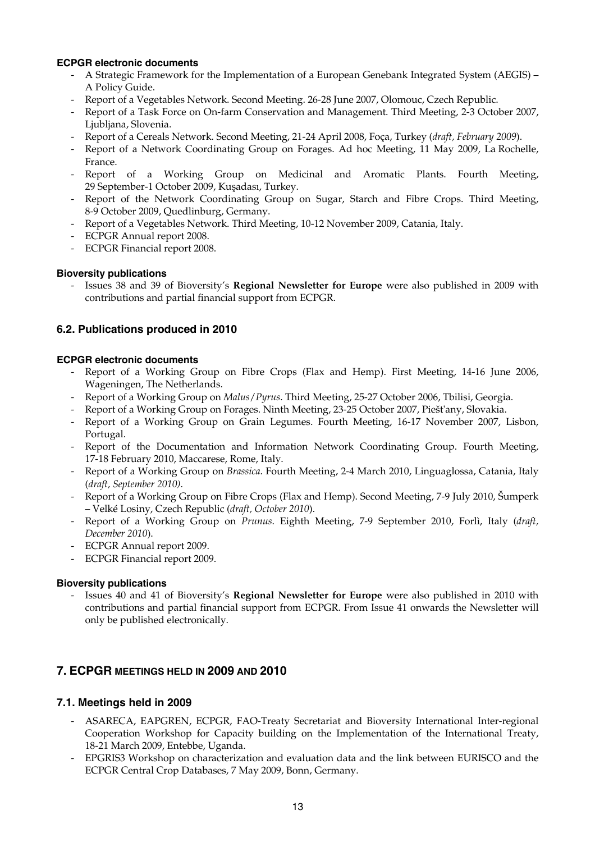### **ECPGR electronic documents**

- A Strategic Framework for the Implementation of a European Genebank Integrated System (AEGIS) A Policy Guide.
- Report of a Vegetables Network. Second Meeting. 26-28 June 2007, Olomouc, Czech Republic.
- Report of a Task Force on On-farm Conservation and Management. Third Meeting, 2-3 October 2007, Ljubljana, Slovenia.
- Report of a Cereals Network. Second Meeting, 21-24 April 2008, Foça, Turkey (*draft, February 2009*).
- Report of a Network Coordinating Group on Forages. Ad hoc Meeting, 11 May 2009, La Rochelle, France.
- Report of a Working Group on Medicinal and Aromatic Plants. Fourth Meeting, 29 September-1 October 2009, Kuşadası, Turkey.
- Report of the Network Coordinating Group on Sugar, Starch and Fibre Crops. Third Meeting, 8-9 October 2009, Quedlinburg, Germany.
- Report of a Vegetables Network. Third Meeting, 10-12 November 2009, Catania, Italy.
- ECPGR Annual report 2008.
- ECPGR Financial report 2008.

### **Bioversity publications**

- Issues 38 and 39 of Bioversity's **Regional Newsletter for Europe** were also published in 2009 with contributions and partial financial support from ECPGR.

### **6.2. Publications produced in 2010**

### **ECPGR electronic documents**

- Report of a Working Group on Fibre Crops (Flax and Hemp). First Meeting, 14-16 June 2006, Wageningen, The Netherlands.
- Report of a Working Group on *Malus*/*Pyrus*. Third Meeting, 25-27 October 2006, Tbilisi, Georgia.
- Report of a Working Group on Forages. Ninth Meeting, 23-25 October 2007, Piešt'any, Slovakia.
- Report of a Working Group on Grain Legumes. Fourth Meeting, 16-17 November 2007, Lisbon, Portugal.
- Report of the Documentation and Information Network Coordinating Group. Fourth Meeting, 17-18 February 2010, Maccarese, Rome, Italy.
- Report of a Working Group on *Brassica*. Fourth Meeting, 2-4 March 2010, Linguaglossa, Catania, Italy (*draft, September 2010)*.
- Report of a Working Group on Fibre Crops (Flax and Hemp). Second Meeting, 7-9 July 2010, Šumperk – Velké Losiny, Czech Republic (*draft, October 2010*).
- Report of a Working Group on *Prunus*. Eighth Meeting, 7-9 September 2010, Forlì, Italy (*draft, December 2010*).
- ECPGR Annual report 2009.
- ECPGR Financial report 2009.

#### **Bioversity publications**

- Issues 40 and 41 of Bioversity's **Regional Newsletter for Europe** were also published in 2010 with contributions and partial financial support from ECPGR. From Issue 41 onwards the Newsletter will only be published electronically.

# **7. ECPGR MEETINGS HELD IN 2009 AND 2010**

### **7.1. Meetings held in 2009**

- ASARECA, EAPGREN, ECPGR, FAO-Treaty Secretariat and Bioversity International Inter-regional Cooperation Workshop for Capacity building on the Implementation of the International Treaty, 18-21 March 2009, Entebbe, Uganda.
- EPGRIS3 Workshop on characterization and evaluation data and the link between EURISCO and the ECPGR Central Crop Databases, 7 May 2009, Bonn, Germany.